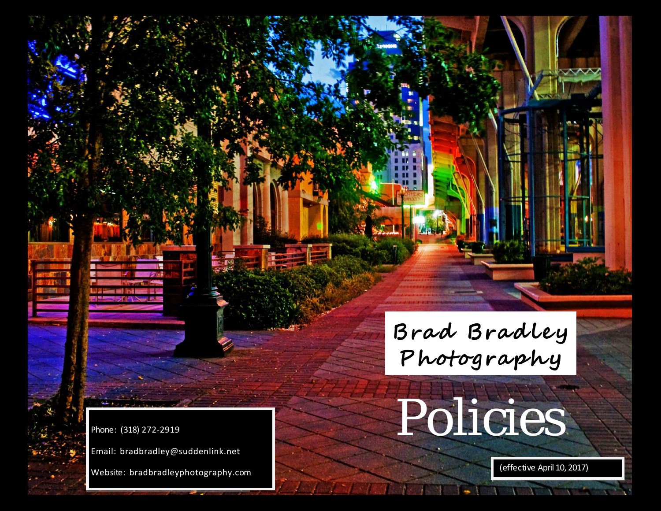# Policies (318) 272-2919

Phon e : (318) 272-2919

Web site: bradbradleyphotography.c om

( e f fec tiv e April 10, 2017)